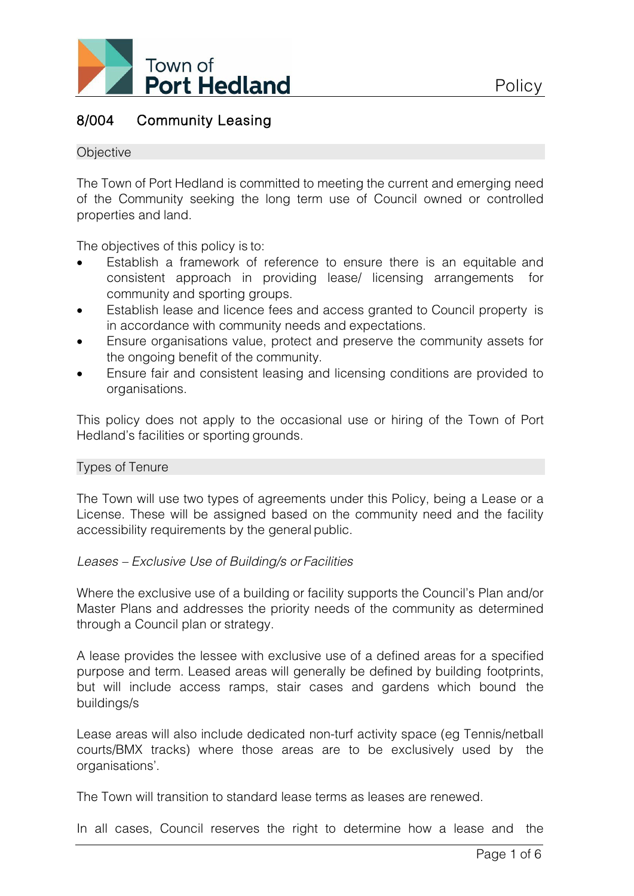

# 8/004 Community Leasing

#### **Objective**

The Town of Port Hedland is committed to meeting the current and emerging need of the Community seeking the long term use of Council owned or controlled properties and land.

The objectives of this policy is to:

- Establish a framework of reference to ensure there is an equitable and consistent approach in providing lease/ licensing arrangements for community and sporting groups.
- Establish lease and licence fees and access granted to Council property is in accordance with community needs and expectations.
- Ensure organisations value, protect and preserve the community assets for the ongoing benefit of the community.
- Ensure fair and consistent leasing and licensing conditions are provided to organisations.

This policy does not apply to the occasional use or hiring of the Town of Port Hedland's facilities or sporting grounds.

#### Types of Tenure

The Town will use two types of agreements under this Policy, being a Lease or a License. These will be assigned based on the community need and the facility accessibility requirements by the general public.

#### *Leases – Exclusive Use of Building/s or Facilities*

Where the exclusive use of a building or facility supports the Council's Plan and/or Master Plans and addresses the priority needs of the community as determined through a Council plan or strategy.

A lease provides the lessee with exclusive use of a defined areas for a specified purpose and term. Leased areas will generally be defined by building footprints, but will include access ramps, stair cases and gardens which bound the buildings/s

Lease areas will also include dedicated non-turf activity space (eg Tennis/netball courts/BMX tracks) where those areas are to be exclusively used by the organisations'.

The Town will transition to standard lease terms as leases are renewed.

In all cases, Council reserves the right to determine how a lease and the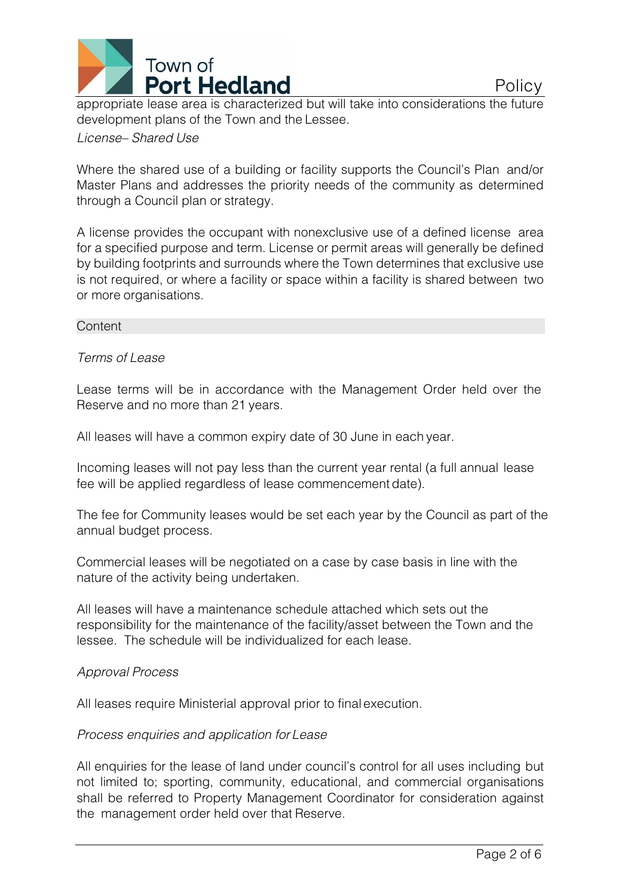

appropriate lease area is characterized but will take into considerations the future development plans of the Town and the Lessee.

### *License– Shared Use*

Where the shared use of a building or facility supports the Council's Plan and/or Master Plans and addresses the priority needs of the community as determined through a Council plan or strategy.

A license provides the occupant with nonexclusive use of a defined license area for a specified purpose and term. License or permit areas will generally be defined by building footprints and surrounds where the Town determines that exclusive use is not required, or where a facility or space within a facility is shared between two or more organisations.

#### **Content**

### *Terms of Lease*

Lease terms will be in accordance with the Management Order held over the Reserve and no more than 21 years.

All leases will have a common expiry date of 30 June in each year.

Incoming leases will not pay less than the current year rental (a full annual lease fee will be applied regardless of lease commencement date).

The fee for Community leases would be set each year by the Council as part of the annual budget process.

Commercial leases will be negotiated on a case by case basis in line with the nature of the activity being undertaken.

All leases will have a maintenance schedule attached which sets out the responsibility for the maintenance of the facility/asset between the Town and the lessee. The schedule will be individualized for each lease.

### *Approval Process*

All leases require Ministerial approval prior to final execution.

### *Process enquiries and application for Lease*

All enquiries for the lease of land under council's control for all uses including but not limited to; sporting, community, educational, and commercial organisations shall be referred to Property Management Coordinator for consideration against the management order held over that Reserve.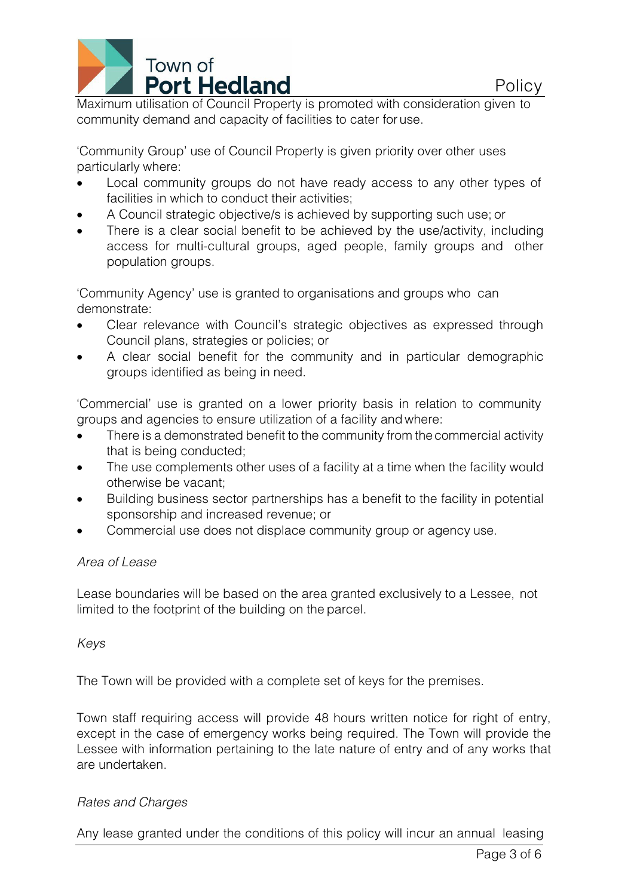

Maximum utilisation of Council Property is promoted with consideration given to community demand and capacity of facilities to cater for use.

'Community Group' use of Council Property is given priority over other uses particularly where:

- Local community groups do not have ready access to any other types of facilities in which to conduct their activities;
- A Council strategic objective/s is achieved by supporting such use; or
- There is a clear social benefit to be achieved by the use/activity, including access for multi-cultural groups, aged people, family groups and other population groups.

'Community Agency' use is granted to organisations and groups who can demonstrate:

- Clear relevance with Council's strategic objectives as expressed through Council plans, strategies or policies; or
- A clear social benefit for the community and in particular demographic groups identified as being in need.

'Commercial' use is granted on a lower priority basis in relation to community groups and agencies to ensure utilization of a facility and where:

- There is a demonstrated benefit to the community from the commercial activity that is being conducted;
- The use complements other uses of a facility at a time when the facility would otherwise be vacant;
- Building business sector partnerships has a benefit to the facility in potential sponsorship and increased revenue; or
- Commercial use does not displace community group or agency use.

# *Area of Lease*

Lease boundaries will be based on the area granted exclusively to a Lessee, not limited to the footprint of the building on the parcel.

# *Keys*

The Town will be provided with a complete set of keys for the premises.

Town staff requiring access will provide 48 hours written notice for right of entry, except in the case of emergency works being required. The Town will provide the Lessee with information pertaining to the late nature of entry and of any works that are undertaken.

# *Rates and Charges*

Any lease granted under the conditions of this policy will incur an annual leasing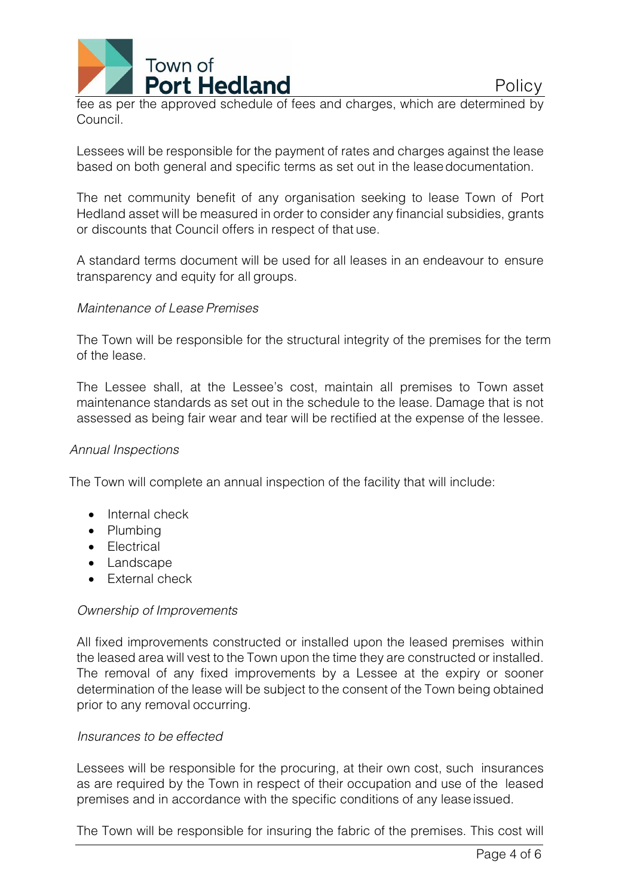

fee as per the approved schedule of fees and charges, which are determined by Council.

Lessees will be responsible for the payment of rates and charges against the lease based on both general and specific terms as set out in the leasedocumentation.

The net community benefit of any organisation seeking to lease Town of Port Hedland asset will be measured in order to consider any financial subsidies, grants or discounts that Council offers in respect of that use.

A standard terms document will be used for all leases in an endeavour to ensure transparency and equity for all groups.

## *Maintenance of Lease Premises*

The Town will be responsible for the structural integrity of the premises for the term of the lease.

The Lessee shall, at the Lessee's cost, maintain all premises to Town asset maintenance standards as set out in the schedule to the lease. Damage that is not assessed as being fair wear and tear will be rectified at the expense of the lessee.

### *Annual Inspections*

The Town will complete an annual inspection of the facility that will include:

- Internal check
- Plumbing
- Electrical
- Landscape
- External check

### *Ownership of Improvements*

All fixed improvements constructed or installed upon the leased premises within the leased area will vest to the Town upon the time they are constructed or installed. The removal of any fixed improvements by a Lessee at the expiry or sooner determination of the lease will be subject to the consent of the Town being obtained prior to any removal occurring.

### *Insurances to be effected*

Lessees will be responsible for the procuring, at their own cost, such insurances as are required by the Town in respect of their occupation and use of the leased premises and in accordance with the specific conditions of any leaseissued.

The Town will be responsible for insuring the fabric of the premises. This cost will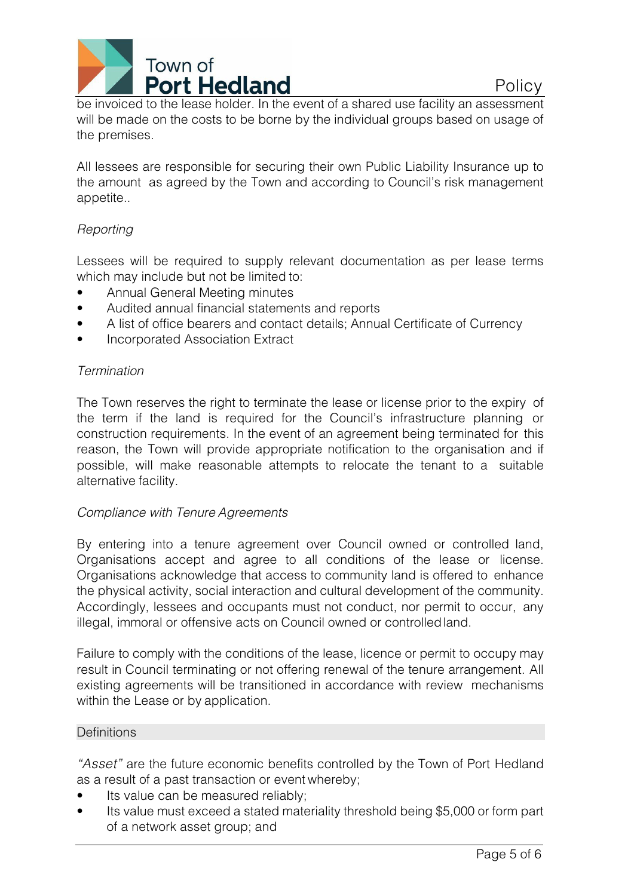

be invoiced to the lease holder. In the event of a shared use facility an assessment will be made on the costs to be borne by the individual groups based on usage of the premises.

All lessees are responsible for securing their own Public Liability Insurance up to the amount as agreed by the Town and according to Council's risk management appetite..

# *Reporting*

Lessees will be required to supply relevant documentation as per lease terms which may include but not be limited to:

- Annual General Meeting minutes
- Audited annual financial statements and reports
- A list of office bearers and contact details; Annual Certificate of Currency
- Incorporated Association Extract

# *Termination*

The Town reserves the right to terminate the lease or license prior to the expiry of the term if the land is required for the Council's infrastructure planning or construction requirements. In the event of an agreement being terminated for this reason, the Town will provide appropriate notification to the organisation and if possible, will make reasonable attempts to relocate the tenant to a suitable alternative facility.

# *Compliance with Tenure Agreements*

By entering into a tenure agreement over Council owned or controlled land, Organisations accept and agree to all conditions of the lease or license. Organisations acknowledge that access to community land is offered to enhance the physical activity, social interaction and cultural development of the community. Accordingly, lessees and occupants must not conduct, nor permit to occur, any illegal, immoral or offensive acts on Council owned or controlledland.

Failure to comply with the conditions of the lease, licence or permit to occupy may result in Council terminating or not offering renewal of the tenure arrangement. All existing agreements will be transitioned in accordance with review mechanisms within the Lease or by application.

# **Definitions**

*"Asset"* are the future economic benefits controlled by the Town of Port Hedland as a result of a past transaction or event whereby;

- Its value can be measured reliably;
- Its value must exceed a stated materiality threshold being \$5,000 or form part of a network asset group; and